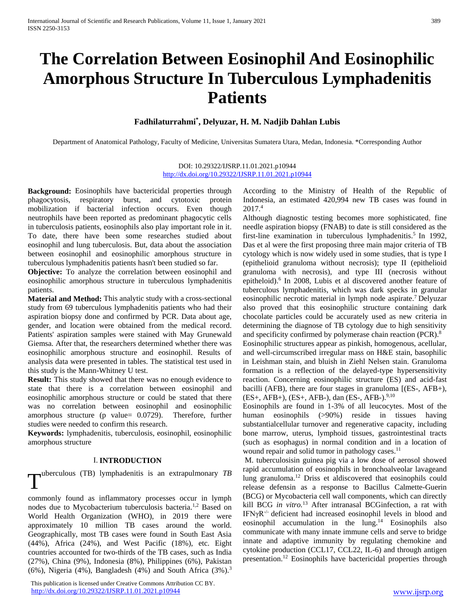# **The Correlation Between Eosinophil And Eosinophilic Amorphous Structure In Tuberculous Lymphadenitis Patients**

### **Fadhilaturrahmi\* , Delyuzar, H. M. Nadjib Dahlan Lubis**

Department of Anatomical Pathology, Faculty of Medicine, Universitas Sumatera Utara, Medan, Indonesia. \*Corresponding Author

#### DOI: 10.29322/IJSRP.11.01.2021.p10944 <http://dx.doi.org/10.29322/IJSRP.11.01.2021.p10944>

**Background:** Eosinophils have bactericidal properties through phagocytosis, respiratory burst, and cytotoxic protein mobilization if bacterial infection occurs. Even though neutrophils have been reported as predominant phagocytic cells in tuberculosis patients, eosinophils also play important role in it. To date, there have been some researches studied about eosinophil and lung tuberculosis. But, data about the association between eosinophil and eosinophilic amorphous structure in tuberculous lymphadenitis patients hasn't been studied so far.

**Objective:** To analyze the correlation between eosinophil and eosinophilic amorphous structure in tuberculous lymphadenitis patients.

**Material and Method:** This analytic study with a cross-sectional study from 69 tuberculous lymphadenitis patients who had their aspiration biopsy done and confirmed by PCR. Data about age, gender, and location were obtained from the medical record. Patients' aspiration samples were stained with May Grunewald Giemsa. After that, the researchers determined whether there was eosinophilic amorphous structure and eosinophil. Results of analysis data were presented in tables. The statistical test used in this study is the Mann-Whitney U test.

**Result:** This study showed that there was no enough evidence to state that there is a correlation between eosinophil and eosinophilic amorphous structure or could be stated that there was no correlation between eosinophil and eosinophilic amorphous structure (p value= 0.0729). Therefore, further studies were needed to confirm this research.

**Keywords:** lymphadenitis, tuberculosis, eosinophil, eosinophilic amorphous structure

#### I. **INTRODUCTION**

T uberculous (TB) lymphadenitis is an extrapulmonary *TB*

commonly found as inflammatory processes occur in lymph nodes due to Mycobacterium tuberculosis bacteria.<sup>1,2</sup> Based on World Health Organization (WHO), in 2019 there were approximately 10 million TB cases around the world. Geographically, most TB cases were found in South East Asia (44%), Africa (24%), and West Pacific (18%), etc. Eight countries accounted for two-thirds of the TB cases, such as India (27%), China (9%), Indonesia (8%), Philippines (6%), Pakistan (6%), Nigeria (4%), Bangladesh (4%) and South Africa  $(3\%)$ .<sup>3</sup>

 This publication is licensed under Creative Commons Attribution CC BY. <http://dx.doi.org/10.29322/IJSRP.11.01.2021.p10944> [www.ijsrp.org](http://ijsrp.org/)

According to the Ministry of Health of the Republic of Indonesia, an estimated 420,994 new TB cases was found in 2017.<sup>4</sup>

Although diagnostic testing becomes more sophisticated, fine needle aspiration biopsy (FNAB) to date is still considered as the first-line examination in tuberculous lymphadenitis.<sup>5</sup> In 1992, Das et al were the first proposing three main major criteria of TB cytology which is now widely used in some studies, that is type I (epithelioid granuloma without necrosis); type II (epithelioid granuloma with necrosis), and type III (necrosis without epitheloid).<sup>6</sup> In 2008, Lubis et al discovered another feature of tuberculous lymphadenitis, which was dark specks in granular eosinophilic necrotic material in lymph node aspirate.<sup>7</sup>Delyuzar also proved that this eosinophilic structure containing dark chocolate particles could be accurately used as new criteria in determining the diagnose of TB cytology due to high sensitivity and specificity confirmed by polymerase chain reaction (PCR).<sup>8</sup>

Eosinophilic structures appear as pinkish, homogenous, acellular, and well-circumscribed irregular mass on H&E stain, basophilic in Leishman stain, and bluish in Ziehl Nelsen stain. Granuloma formation is a reflection of the delayed-type hypersensitivity reaction. Concerning eosinophilic structure (ES) and acid-fast bacilli (AFB), there are four stages in granuloma [(ES-, AFB+),  $(ES+, AFB+), (ES+, AFB-), dan (ES-, AFB-),<sup>9,10</sup>$ 

Eosinophils are found in 1-3% of all leucocytes. Most of the human eosinophils (>90%) reside in tissues having substantialcellular turnover and regenerative capacity, including bone marrow, uterus, lymphoid tissues, gastrointestinal tracts (such as esophagus) in normal condition and in a location of wound repair and solid tumor in pathology cases.<sup>11</sup>

M. tuberculosisin guinea pig via a low dose of aerosol showed rapid accumulation of eosinophils in bronchoalveolar lavageand lung granuloma.<sup>12</sup> Driss et aldiscovered that eosinophils could release defensin as a response to Bacillus Calmette-Guerin (BCG) or Mycobacteria cell wall components*,* which can directly kill BCG *in vitro.*<sup>13</sup> After intranasal BCGinfection, a rat with IFNγR-/- deficient had increased eosinophil levels in blood and eosinophil accumulation in the lung. <sup>14</sup> Eosinophils also communicate with many innate immune cells and serve to bridge innate and adaptive immunity by regulating chemokine and cytokine production (CCL17, CCL22, IL-6) and through antigen presentation.<sup>12</sup> Eosinophils have bactericidal properties through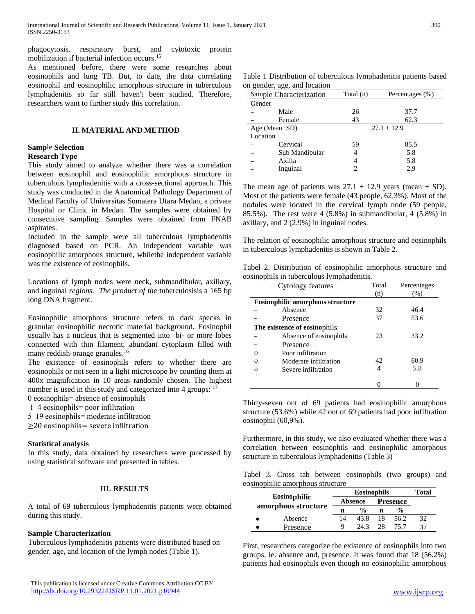phagocytosis, respiratory burst, and cytotoxic protein mobilization if bacterial infection occurs. 15

As mentioned before, there were some researches about eosinophils and lung TB. But, to date, the data correlating eosinophil and eosinophilic amorphous structure in tuberculous lymphadenitis so far still haven't been studied. Therefore, researchers want to further study this correlation.

#### **II. MATERIAL AND METHOD**

# **Samp**le **Selection**

#### **Research Type**

This study aimed to analyze whether there was a correlation between eosinophil and eosinophilic amorphous structure in tuberculous lymphadenitis with a cross-sectional approach. This study was conducted in the Anatomical Pathology Department of Medical Faculty of Universitas Sumatera Utara Medan, a private Hospital or Clinic in Medan. The samples were obtained by consecutive sampling. Samples were obtained from FNAB aspirates.

Included in the sample were all tuberculous lymphadenitis diagnosed based on PCR. An independent variable was eosinophilic amorphous structure*,* whilethe independent variable was the existence of eosinophils*.*

Locations of lymph nodes were neck, submandibular, axillary, and inguinal *regions. The product of the* tuberculosisis a 165 bp long DNA fragment.

Eosinophilic amorphous structure refers to dark specks in granular eosinophilic necrotic material background. Eosinophil usually has a nucleus that is segmented into bi- or more lobes connected with thin filament, abundant cytoplasm filled with many reddish-orange granules.<sup>16</sup>

The existence of eosinophils refers to whether there are eosinophils or not seen in a light microscope by counting them at 400x magnification in 10 areas randomly chosen. The highest number is used in this study and categorized into 4 groups: <sup>17</sup>

0 eosinophils= absence of eosinophils

- 1‒4 eosinophils= poor infiltration
- 5‒19 eosinophils= moderate infiltration

≥20 eosinophils= severe infiltration

#### **Statistical analysis**

In this study, data obtained by researchers were processed by using statistical software and presented in tables.

#### **III. RESULTS**

A total of 69 tuberculous lymphadenitis patients were obtained during this study.

#### **Sample Characterization**

Tuberculous lymphadenitis patients were distributed based on gender, age, and location of the lymph nodes (Table 1).

|          | Sample Characterization | Total (n)     | Percentages (%) |  |  |  |
|----------|-------------------------|---------------|-----------------|--|--|--|
| Gender   |                         |               |                 |  |  |  |
|          | Male                    | 26            | 37.7            |  |  |  |
|          | Female                  | 43            | 62.3            |  |  |  |
|          | Age (Mean $\pm$ SD)     | $27.1 + 12.9$ |                 |  |  |  |
| Location |                         |               |                 |  |  |  |
|          | Cervical                | 59            | 85.5            |  |  |  |
|          | Sub Mandibular          |               | 5.8             |  |  |  |
|          | Axilla                  | 4             | 5.8             |  |  |  |
|          | Inguinal                |               | 2.9             |  |  |  |

The mean age of patients was  $27.1 \pm 12.9$  years (mean  $\pm$  SD). Most of the patients were female (43 people, 62.3%). Most of the nodules were located in the cervical lymph node (59 people, 85.5%). The rest were 4 (5.8%) in submandibular*,* 4 (5.8%) in axillary, and 2 (2.9%) in inguinal nodes.

The relation of eosinophilic amorphous structure and eosinophils in tuberculous lymphadenitis is shown in Table 2.

|  | Tabel 2. Distribution of eosinophilic amorphous structure and |  |  |  |
|--|---------------------------------------------------------------|--|--|--|
|  | eosinophils in tuberculous lymphadenitis.                     |  |  |  |

|   | Cytology features                       | Total | Percentages |
|---|-----------------------------------------|-------|-------------|
|   |                                         | (n)   | (%)         |
|   | <b>Eosinophilic amorphous structure</b> |       |             |
|   | Absence                                 | 32    | 46.4        |
|   | Presence                                | 37    | 53.6        |
|   | The existence of eosinophils            |       |             |
|   | Absence of eosinophils                  | 23    | 33.2        |
|   | Presence                                |       |             |
|   | Poor infiltration                       |       |             |
| ◠ | Moderate infiltration                   | 42    | 60.9        |
| ◠ | Severe infiltration                     | 4     | 5.8         |
|   |                                         |       |             |

Thirty-seven out of 69 patients had eosinophilic amorphous structure (53.6%) while 42 out of 69 patients had poor infiltration eosinophil (60,9%).

Furthermore, in this study, we also evaluated whether there was a correlation between eosinophils and eosinophilic amorphous structure in tuberculous lymphadenitis (Table 3)

Tabel 3. Cross tab between eosinophils (two groups) and eosinophilic amorphous structure

| Eosinophilic<br>amorphous structure |          |    | Total          |                 |               |    |
|-------------------------------------|----------|----|----------------|-----------------|---------------|----|
|                                     |          |    | <b>Absence</b> | <b>Presence</b> |               |    |
|                                     |          | n  | $\frac{0}{0}$  | n               | $\frac{0}{0}$ |    |
|                                     | Absence  | 14 | 43.8           | 18              | 56.2          | 32 |
|                                     | Presence | O  | 243            | 28              | 75 7          | 37 |

First, researchers categorize the existence of eosinophils into two groups, ie. absence and, presence. It was found that 18 (56.2%) patients had eosinophils even though no eosinophilic amorphous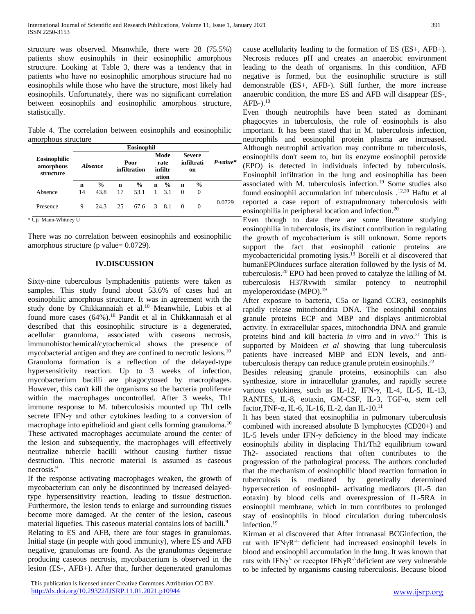structure was observed. Meanwhile, there were 28 (75.5%) patients show eosinophils in their eosinophilic amorphous structure. Looking at Table 3, there was a tendency that in patients who have no eosinophilic amorphous structure had no eosinophils while those who have the structure, most likely had eosinophils. Unfortunately, there was no significant correlation between eosinophils and eosinophilic amorphous structure, statistically.

Table 4. The correlation between eosinophils and eosinophilic amorphous structure

|                                        | Eosinophil |               |                      |               |                                  |               |                                   |               |            |
|----------------------------------------|------------|---------------|----------------------|---------------|----------------------------------|---------------|-----------------------------------|---------------|------------|
| Eosinophilic<br>amorphous<br>structure | Absence    |               | Poor<br>infiltration |               | Mode<br>rate<br>infiltr<br>ation |               | <b>Severe</b><br>infiltrati<br>on |               | $P-value*$ |
|                                        | n          | $\frac{6}{9}$ | n                    | $\frac{6}{9}$ | $\mathbf n$                      | $\frac{0}{0}$ | n                                 | $\frac{0}{0}$ |            |
| Absence                                | 14         | 43.8          | 17                   | 53.1          | $\mathbf{1}$                     | 3.1           | $\Omega$                          | $\Omega$      |            |
| Presence                               | 9          | 24.3          | 25                   | 67.6          |                                  | 3 8.1         | $\Omega$                          | $\Omega$      | 0.0729     |

\* Uji Mann-Whitney U

There was no correlation between eosinophils and eosinophilic amorphous structure (p value= 0.0729).

#### **IV.DISCUSSION**

Sixty-nine tuberculous lymphadenitis patients were taken as samples. This study found about 53.6% of cases had an eosinophilic amorphous structure. It was in agreement with the study done by Chikkannaiah et al.<sup>10</sup> Meanwhile, Lubis et al found more cases (64%).<sup>18</sup> Pandit et al in Chikkannaiah et al described that this eosinophilic structure is a degenerated, acellular granuloma, associated with caseous necrosis, immunohistochemical/cytochemical shows the presence of mycobacterial antigen and they are confined to necrotic lesions.<sup>10</sup> Granuloma formation is a reflection of the delayed-type hypersensitivity reaction. Up to 3 weeks of infection, mycobacterium bacilli are phagocytosed by macrophages. However, this can't kill the organisms so the bacteria proliferate within the macrophages uncontrolled. After 3 weeks, Th1 immune response to M. tuberculosisis mounted up Th1 cells secrete IFN-γ and other cytokines leading to a conversion of macrophage into epithelioid and giant cells forming granuloma.<sup>10</sup> These activated macrophages accumulate around the center of the lesion and subsequently, the macrophages will effectively neutralize tubercle bacilli without causing further tissue destruction. This necrotic material is assumed as caseous necrosis.<sup>9</sup>

If the response activating macrophages weaken, the growth of mycobacterium can only be discontinued by increased delayedtype hypersensitivity reaction, leading to tissue destruction. Furthermore, the lesion tends to enlarge and surrounding tissues become more damaged. At the center of the lesion, caseous material liquefies. This caseous material contains lots of bacilli.<sup>9</sup> Relating to ES and AFB, there are four stages in granulomas. Initial stage (in people with good immunity), where ES and AFB negative, granulomas are found. As the granulomas degenerate producing caseous necrosis, mycobacterium is observed in the lesion (ES-, AFB+). After that, further degenerated granulomas

 This publication is licensed under Creative Commons Attribution CC BY. <http://dx.doi.org/10.29322/IJSRP.11.01.2021.p10944> [www.ijsrp.org](http://ijsrp.org/)

cause acellularity leading to the formation of ES (ES+, AFB+). Necrosis reduces pH and creates an anaerobic environment leading to the death of organisms. In this condition, AFB negative is formed, but the eosinophilic structure is still demonstrable (ES+, AFB-). Still further, the more increase anaerobic condition, the more ES and AFB will disappear (ES-, AFB- $).^{10}$ 

Even though neutrophils have been stated as dominant phagocytes in tuberculosis, the role of eosinophils is also important. It has been stated that in M. tuberculosis infection, neutrophils and eosinophil protein plasma are increased. Although neutrophil activation may contribute to tuberculosis, eosinophils don't seem to, but its enzyme eosinophil peroxide (EPO) is detected in individuals infected by tuberculosis. Eosinophil infiltration in the lung and eosinophilia has been associated with M. tuberculosis infection.<sup>19</sup> Some studies also found eosinophil accumulation inf tuberculosis .12,20 Haftu et al reported a case report of extrapulmonary tuberculosis with eosinophilia in peripheral location and infection.<sup>20</sup>

Even though to date there are some literature studying eosinophilia in tuberculosis, its distinct contribution in regulating the growth of mycobacterium is still unknown. Some reports support the fact that eosinophil cationic proteins are mycobactericidal promoting lysis.<sup>13</sup> Borelli et al discovered that humanEPOinduces surface alteration followed by the lysis of M. tuberculosis.<sup>20</sup> EPO had been proved to catalyze the killing of M. tuberculosis H37Rvwith similar potency to neutrophil myeloperoxidase (MPO).<sup>19</sup>

After exposure to bacteria, C5a or ligand CCR3, eosinophils rapidly release mitochondria DNA. The eosinophil contains granule proteins ECP and MBP and displays antimicrobial activity. In extracellular spaces, mitochondria DNA and granule proteins bind and kill bacteria *in vitro* and *in vivo*. <sup>21</sup> This is supported by Moideen *et al* showing that lung tuberculosis patients have increased MBP and EDN levels, and antituberculosis therapy can reduce granule protein eosinophils. $^{22}$ 

Besides releasing granule proteins, eosinophils can also synthesize, store in intracellular granules, and rapidly secrete various cytokines, such as IL-12, IFN-γ, IL-4, IL-5, IL-13, RANTES, IL-8, eotaxin, GM-CSF, IL-3, TGF-α, stem cell factor,TNF-α, IL-6, IL-16, IL-2, dan IL-10.<sup>11</sup>

It has been stated that eosinophilia in pulmonary tuberculosis combined with increased absolute B lymphocytes (CD20+) and IL-5 levels under IFN-γ deficiency in the blood may indicate eosinophils' ability in displacing Th1/Th2 equilibrium toward Th2- associated reactions that often contributes to the progression of the pathological process. The authors concluded that the mechanism of eosinophilic blood reaction formation in tuberculosis is mediated by genetically determined hypersecretion of eosinophil- activating mediators (IL-5 dan eotaxin) by blood cells and overexpression of IL-5RA in eosinophil membrane, which in turn contributes to prolonged stay of eosinophils in blood circulation during tuberculosis infection.<sup>19</sup>

Kirman et al discovered that After intranasal BCGinfection, the rat with IFNγR-/- deficient had increased eosinophil levels in blood and eosinophil accumulation in the lung. It was known that rats with IFN $\gamma$ <sup>-</sup> or receptor IFN $\gamma$ R<sup>-/-</sup>deficient are very vulnerable to be infected by organisms causing tuberculosis. Because blood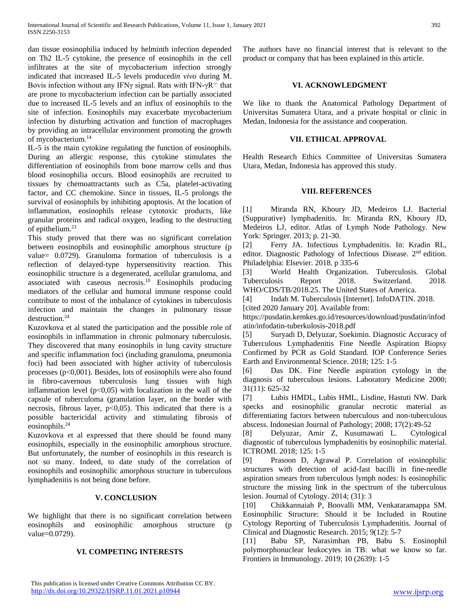dan tissue eosinophilia induced by helminth infection depended on Th2 IL-5 cytokine, the presence of eosinophils in the cell infiltrates at the site of mycobacterium infection strongly indicated that increased IL-5 levels produced*in vivo* during M. Bovis infection without any IFN $\gamma$  signal. Rats with IFN- $\gamma R^{-/-}$  that are prone to mycobacterium infection can be partially associated due to increased IL-5 levels and an influx of eosinophils to the site of infection. Eosinophils may exacerbate mycobacterium infection by disturbing activation and function of macrophages by providing an intracellular environment promoting the growth of mycobacterium*.* 14

IL-5 is the main cytokine regulating the function of eosinophils. During an allergic response, this cytokine stimulates the differentiation of eosinophils from bone marrow cells and thus blood eosinophilia occurs. Blood eosinophils are recruited to tissues by chemoattractants such as C5a, platelet-activating factor, and CC chemokine. Since in tissues, IL-5 prolongs the survival of eosinophils by inhibiting apoptosis. At the location of inflammation, eosinophils release cytotoxic products, like granular proteins and radical oxygen, leading to the destructing of epithelium.<sup>23</sup>

This study proved that there was no significant correlation between eosinophils and eosinophilic amorphous structure (p value= 0.0729). Granuloma formation of tuberculosis is a reflection of delayed-type hypersensitivity reaction. This eosinophilic structure is a degenerated, acellular granuloma, and associated with caseous  $\overline{n}$  necrosis.<sup>10</sup> Eosinophils producing mediators of the cellular and humoral immune response could contribute to most of the imbalance of cytokines in tuberculosis infection and maintain the changes in pulmonary tissue destruction.<sup>24</sup>

Kuzovkova et al stated the participation and the possible role of eosinophils in inflammation in chronic pulmonary tuberculosis. They discovered that many eosinophils in lung cavity structure and specific inflammation foci (including granuloma, pneumonia foci) had been associated with higher activity of tuberculosis processes ( $p<0.001$ ). Besides, lots of eosinophils were also found in fibro-cavernous tuberculosis lung tissues with high inflammation level  $(p<0.05)$  with localization in the wall of the capsule of tuberculoma (granulation layer, on the border with necrosis, fibrous layer,  $p<0,05$ ). This indicated that there is a possible bactericidal activity and stimulating fibrosis of eosinophils.<sup>24</sup>

Kuzovkova et al expressed that there should be found many eosinophils, especially in the eosinophilic amorphous structure. But unfortunately, the number of eosinophils in this research is not so many. Indeed, to date study of the correlation of eosinophils and eosinophilic amorphous structure in tuberculous lymphadenitis is not being done before.

#### **V. CONCLUSION**

We highlight that there is no significant correlation between eosinophils and eosinophilic amorphous structure (p value=0.0729).

#### **VI. COMPETING INTERESTS**

The authors have no financial interest that is relevant to the product or company that has been explained in this article.

#### **VI. ACKNOWLEDGMENT**

We like to thank the Anatomical Pathology Department of Universitas Sumatera Utara, and a private hospital or clinic in Medan, Indonesia for the assistance and cooperation.

#### **VII. ETHICAL APPROVAL**

Health Research Ethics Committee of Universitas Sumatera Utara, Medan, Indonesia has approved this study.

#### **VIII. REFERENCES**

[1] Miranda RN, Khoury JD, Medeiros LJ. Bacterial (Suppurative) lymphadenitis. In: Miranda RN, Khoury JD, Medeiros LJ, editor. Atlas of Lymph Node Pathology. New York: Springer. 2013; p. 21-30.

[2] Ferry JA. Infectious Lymphadenitis. In: Kradin RL, editor. Diagnostic Pathology of Infectious Disease. 2nd edition. Philadelphia: Elsevier. 2018. p 335-6

[3] World Health Organization. Tuberculosis. Global Tuberculosis Report 2018. Switzerland. 2018. WHO/CDS/TB/2018.25. The United States of America.

[4] Indah M. Tuberculosis [Internet]. InfoDATIN. 2018.

[cited 2020 January 20]. Available from:

https://pusdatin.kemkes.go.id/resources/download/pusdatin/infod atin/infodatin-tuberkulosis-2018.pdf

[5] Suryadi D, Delyuzar, Soekimin. Diagnostic Accuracy of Tuberculous Lymphadenitis Fine Needle Aspiration Biopsy Confirmed by PCR as Gold Standard. IOP Conference Series Earth and Environmental Science. 2018; 125: 1-5

[6] Das DK. Fine Needle aspiration cytology in the diagnosis of tuberculous lesions. Laboratory Medicine 2000; 31(11): 625-32

[7] Lubis HMDL, Lubis HML, Lisdine, Hastuti NW. Dark specks and eosinophilic granular necrotic material as differentiating factors between tuberculous and non-tuberculous abscess. Indonesian Journal of Pathology; 2008; 17(2):49-52

[8] Delyuzar, Amir Z, Kusumawati L. Cytological diagnostic of tuberculous lymphadenitis by eosinophilic material. ICTROMI. 2018; 125: 1-5

[9] Prasoon D, Agrawal P. Correlation of eosinophilic structures with detection of acid-fast bacilli in fine-needle aspiration smears from tuberculous lymph nodes: Is eosinophilic structure the missing link in the spectrum of the tuberculous lesion. Journal of Cytology. 2014; (31): 3

[10] Chikkannaiah P, Boovalli MM, Venkataramappa SM. Eosinophilic Structure: Should it be Included in Routine Cytology Reporting of Tuberculosis Lymphadenitis. Journal of Clinical and Diagnostic Research. 2015; 9(12): 5-7

[11] Babu SP, Narasimhan PB, Babu S. Eosinophil polymorphonuclear leukocytes in TB: what we know so far. Frontiers in Immunology. 2019; 10 (2639): 1-5